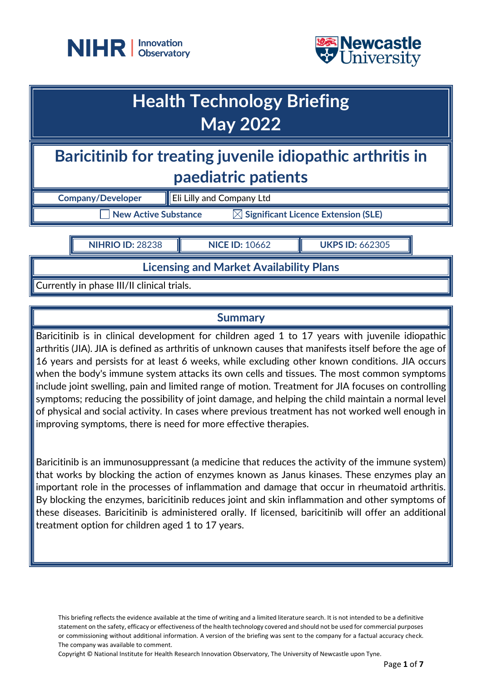



# **Health Technology Briefing May 2022**

## **Baricitinib for treating juvenile idiopathic arthritis in paediatric patients**

| <b>Company/Developer</b> | <b>Eli Lilly and Company Ltd</b>                |
|--------------------------|-------------------------------------------------|
| New Active Substance     | $\boxtimes$ Significant Licence Extension (SLE) |

**NIHRIO ID:** 28238 **NICE ID:** 10662 **UKPS ID:** 662305

**Licensing and Market Availability Plans**

Currently in phase III/II clinical trials.

## **Summary**

Baricitinib is in clinical development for children aged 1 to 17 years with juvenile idiopathic arthritis (JIA). JIA is defined as arthritis of unknown causes that manifests itself before the age of 16 years and persists for at least 6 weeks, while excluding other known conditions. JIA occurs when the body's immune system attacks its own cells and tissues. The most common symptoms include joint swelling, pain and limited range of motion. Treatment for JIA focuses on controlling symptoms; reducing the possibility of joint damage, and helping the child maintain a normal level of physical and social activity. In cases where previous treatment has not worked well enough in improving symptoms, there is need for more effective therapies.

Baricitinib is an immunosuppressant (a medicine that reduces the activity of the immune system) that works by blocking the action of enzymes known as Janus kinases. These enzymes play an important role in the processes of inflammation and damage that occur in rheumatoid arthritis. By blocking the enzymes, baricitinib reduces joint and skin inflammation and other symptoms of these diseases. Baricitinib is administered orally. If licensed, baricitinib will offer an additional treatment option for children aged 1 to 17 years.

This briefing reflects the evidence available at the time of writing and a limited literature search. It is not intended to be a definitive statement on the safety, efficacy or effectiveness of the health technology covered and should not be used for commercial purposes or commissioning without additional information. A version of the briefing was sent to the company for a factual accuracy check. The company was available to comment.

Copyright © National Institute for Health Research Innovation Observatory, The University of Newcastle upon Tyne.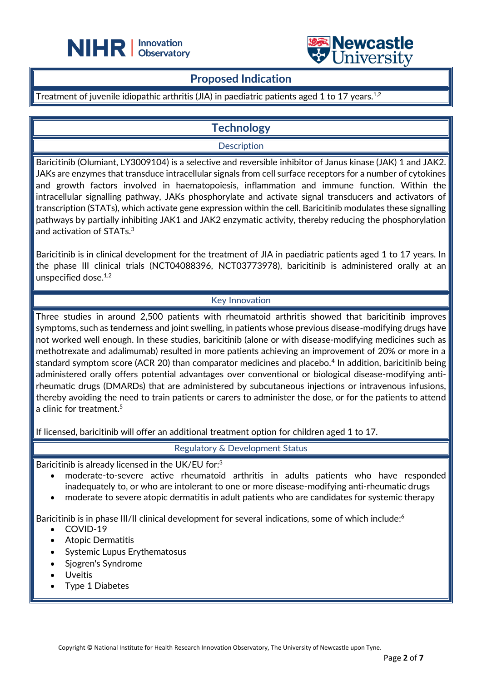



### **Proposed Indication**

#### Treatment of juvenile idiopathic arthritis (JIA) in paediatric patients aged 1 to 17 years. $^{1,2}$

֦

## **Technology**

**Description** 

Baricitinib (Olumiant, LY3009104) is a selective and reversible inhibitor of Janus kinase (JAK) 1 and JAK2. JAKs are enzymes that transduce intracellular signals from cell surface receptors for a number of cytokines and growth factors involved in haematopoiesis, inflammation and immune function. Within the intracellular signalling pathway, JAKs phosphorylate and activate signal transducers and activators of transcription (STATs), which activate gene expression within the cell. Baricitinib modulates these signalling pathways by partially inhibiting JAK1 and JAK2 enzymatic activity, thereby reducing the phosphorylation and activation of STATs.<sup>3</sup>

Baricitinib is in clinical development for the treatment of JIA in paediatric patients aged 1 to 17 years. In the phase III clinical trials (NCT04088396, NCT03773978), baricitinib is administered orally at an unspecified dose. 1,2

#### Key Innovation

Three studies in around 2,500 patients with rheumatoid arthritis showed that baricitinib improves symptoms, such as tenderness and joint swelling, in patients whose previous disease-modifying drugs have not worked well enough. In these studies, baricitinib (alone or with disease-modifying medicines such as methotrexate and adalimumab) resulted in more patients achieving an improvement of 20% or more in a standard symptom score (ACR 20) than comparator medicines and placebo. $4$  In addition, baricitinib being administered orally offers potential advantages over conventional or biological disease-modifying antirheumatic drugs (DMARDs) that are administered by subcutaneous injections or intravenous infusions, thereby avoiding the need to train patients or carers to administer the dose, or for the patients to attend | a clinic for treatment. 5

If licensed, baricitinib will offer an additional treatment option for children aged 1 to 17.

#### Regulatory & Development Status

Baricitinib is already licensed in the UK/EU for:<sup>3</sup>

- moderate-to-severe active rheumatoid arthritis in adults patients who have responded inadequately to, or who are intolerant to one or more disease-modifying anti-rheumatic drugs
- moderate to severe atopic dermatitis in adult patients who are candidates for systemic therapy

Baricitinib is in phase III/II clinical development for several indications, some of which include:<sup>6</sup>

- COVID-19
- Atopic Dermatitis
- Systemic Lupus Erythematosus
- Sjogren's Syndrome
- **Uveitis**
- Type 1 Diabetes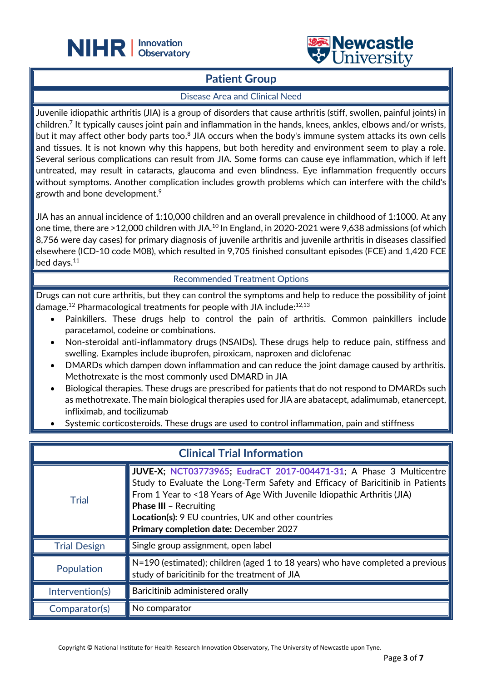

## **Patient Group**

֦

#### Disease Area and Clinical Need

Juvenile idiopathic arthritis (JIA) is a group of disorders that cause arthritis (stiff, swollen, painful joints) in children. 7 It typically causes joint pain and inflammation in the hands, knees, ankles, elbows and/or wrists, but it may affect other body parts too.<sup>8</sup> JIA occurs when the body's immune system attacks its own cells and tissues. It is not known why this happens, but both heredity and environment seem to play a role. Several serious complications can result from JIA. Some forms can cause eye inflammation, which if left untreated, may result in cataracts, glaucoma and even blindness. Eye inflammation frequently occurs without symptoms. Another complication includes growth problems which can interfere with the child's growth and bone development.<sup>9</sup>

JIA has an annual incidence of 1:10,000 children and an overall prevalence in childhood of 1:1000. At any one time, there are >12,000 children with JIA.<sup>10</sup> In England, in 2020-2021 were 9,638 admissions (of which 8,756 were day cases) for primary diagnosis of juvenile arthritis and juvenile arthritis in diseases classified elsewhere (ICD-10 code M08), which resulted in 9,705 finished consultant episodes (FCE) and 1,420 FCE bed days.<sup>11</sup>

#### Recommended Treatment Options

Drugs can not cure arthritis, but they can control the symptoms and help to reduce the possibility of joint damage.<sup>12</sup> Pharmacological treatments for people with JIA include:12,13

- Painkillers. These drugs help to control the pain of arthritis. Common painkillers include paracetamol, codeine or combinations.
- Non-steroidal anti-inflammatory drugs (NSAIDs). These drugs help to reduce pain, stiffness and swelling. Examples include ibuprofen, piroxicam, naproxen and diclofenac
- DMARDs which dampen down inflammation and can reduce the joint damage caused by arthritis. Methotrexate is the most commonly used DMARD in JIA
- Biological therapies. These drugs are prescribed for patients that do not respond to DMARDs such as methotrexate. The main biological therapies used for JIA are abatacept, adalimumab, etanercept, infliximab, and tocilizumab
- Systemic corticosteroids. These drugs are used to control inflammation, pain and stiffness

| <b>Clinical Trial Information</b> |                                                                                                                                                                                                                                                                                                                                                                    |  |
|-----------------------------------|--------------------------------------------------------------------------------------------------------------------------------------------------------------------------------------------------------------------------------------------------------------------------------------------------------------------------------------------------------------------|--|
| <b>Trial</b>                      | JUVE-X; NCT03773965; EudraCT 2017-004471-31; A Phase 3 Multicentre<br>Study to Evaluate the Long-Term Safety and Efficacy of Baricitinib in Patients<br>From 1 Year to <18 Years of Age With Juvenile Idiopathic Arthritis (JIA)<br><b>Phase III - Recruiting</b><br>Location(s): 9 EU countries, UK and other countries<br>Primary completion date: December 2027 |  |
| <b>Trial Design</b>               | Single group assignment, open label                                                                                                                                                                                                                                                                                                                                |  |
| Population                        | N=190 (estimated); children (aged 1 to 18 years) who have completed a previous<br>study of baricitinib for the treatment of JIA                                                                                                                                                                                                                                    |  |
| Intervention(s)                   | Baricitinib administered orally                                                                                                                                                                                                                                                                                                                                    |  |
| Comparator(s)                     | No comparator                                                                                                                                                                                                                                                                                                                                                      |  |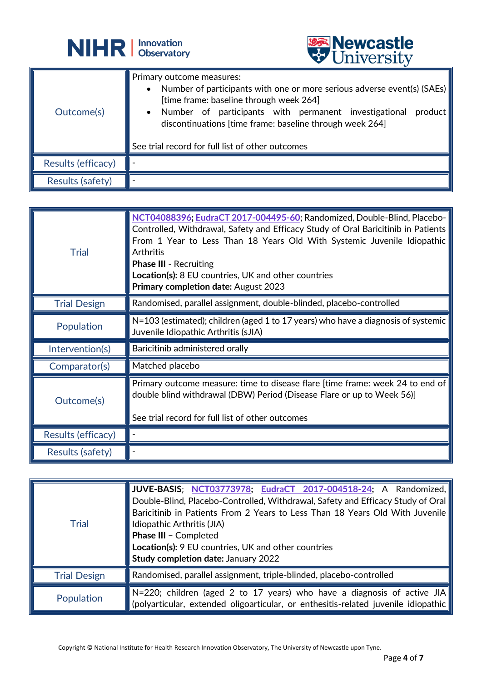



|                         | A CITTACTOIA                                                                                                                                                                                                                                                                                                                                         |
|-------------------------|------------------------------------------------------------------------------------------------------------------------------------------------------------------------------------------------------------------------------------------------------------------------------------------------------------------------------------------------------|
| Outcome(s)              | Primary outcome measures:<br>Number of participants with one or more serious adverse event(s) (SAEs)<br>$\bullet$<br>[time frame: baseline through week 264]<br>• Number of participants with permanent investigational<br>product  <br>discontinuations [time frame: baseline through week 264]<br>See trial record for full list of other outcomes |
| Results (efficacy)      |                                                                                                                                                                                                                                                                                                                                                      |
| <b>Results (safety)</b> |                                                                                                                                                                                                                                                                                                                                                      |

| <b>Trial</b>        | NCT04088396; EudraCT 2017-004495-60; Randomized, Double-Blind, Placebo-<br>Controlled, Withdrawal, Safety and Efficacy Study of Oral Baricitinib in Patients<br>From 1 Year to Less Than 18 Years Old With Systemic Juvenile Idiopathic<br><b>Arthritis</b><br><b>Phase III - Recruiting</b><br>Location(s): 8 EU countries, UK and other countries<br>Primary completion date: August 2023 |
|---------------------|---------------------------------------------------------------------------------------------------------------------------------------------------------------------------------------------------------------------------------------------------------------------------------------------------------------------------------------------------------------------------------------------|
| <b>Trial Design</b> | Randomised, parallel assignment, double-blinded, placebo-controlled                                                                                                                                                                                                                                                                                                                         |
| Population          | $N=103$ (estimated); children (aged 1 to 17 years) who have a diagnosis of systemic<br>Juvenile Idiopathic Arthritis (sJIA)                                                                                                                                                                                                                                                                 |
| Intervention(s)     | Baricitinib administered orally                                                                                                                                                                                                                                                                                                                                                             |
| Comparator(s)       | Matched placebo                                                                                                                                                                                                                                                                                                                                                                             |
| Outcome(s)          | Primary outcome measure: time to disease flare [time frame: week 24 to end of  <br>double blind withdrawal (DBW) Period (Disease Flare or up to Week 56)]<br>See trial record for full list of other outcomes                                                                                                                                                                               |
| Results (efficacy)  |                                                                                                                                                                                                                                                                                                                                                                                             |
| Results (safety)    |                                                                                                                                                                                                                                                                                                                                                                                             |

| <b>Trial</b>        | JUVE-BASIS; NCT03773978; EudraCT 2017-004518-24; A Randomized,<br>Double-Blind, Placebo-Controlled, Withdrawal, Safety and Efficacy Study of Oral<br>Baricitinib in Patients From 2 Years to Less Than 18 Years Old With Juvenile<br>Idiopathic Arthritis (JIA)<br>Phase III - Completed<br>Location(s): 9 EU countries, UK and other countries<br><b>Study completion date: January 2022</b> |
|---------------------|-----------------------------------------------------------------------------------------------------------------------------------------------------------------------------------------------------------------------------------------------------------------------------------------------------------------------------------------------------------------------------------------------|
| <b>Trial Design</b> | Randomised, parallel assignment, triple-blinded, placebo-controlled                                                                                                                                                                                                                                                                                                                           |
| <b>Population</b>   | $N=220$ ; children (aged 2 to 17 years) who have a diagnosis of active JIA<br>(polyarticular, extended oligoarticular, or enthesitis-related juvenile idiopathic                                                                                                                                                                                                                              |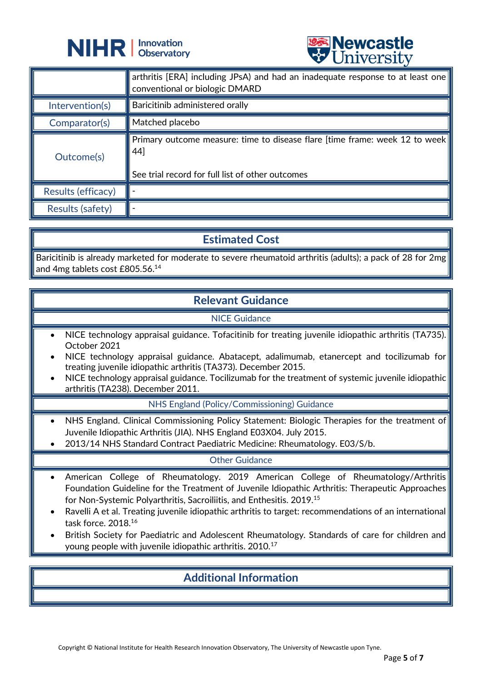



|                    | $\triangledown$ $\cup$ $\cdots$                                                                                                                    |
|--------------------|----------------------------------------------------------------------------------------------------------------------------------------------------|
|                    | arthritis [ERA] including JPsA) and had an inadequate response to at least one<br>conventional or biologic DMARD                                   |
| Intervention(s)    | Baricitinib administered orally                                                                                                                    |
| Comparator(s)      | Matched placebo                                                                                                                                    |
| Outcome(s)         | Primary outcome measure: time to disease flare [time frame: week 12 to week $\parallel$<br>44]<br>See trial record for full list of other outcomes |
| Results (efficacy) |                                                                                                                                                    |
| Results (safety)   |                                                                                                                                                    |

## **Estimated Cost**

Baricitinib is already marketed for moderate to severe rheumatoid arthritis (adults); a pack of 28 for 2mg and  $4$ mg tablets cost £805.56. $^{14}$ 

## **Relevant Guidance**

#### NICE Guidance

- NICE technology appraisal guidance. Tofacitinib for treating juvenile idiopathic arthritis (TA735). October 2021
- NICE technology appraisal guidance. Abatacept, adalimumab, etanercept and tocilizumab for treating juvenile idiopathic arthritis (TA373). December 2015.
- NICE technology appraisal guidance. Tocilizumab for the treatment of systemic juvenile idiopathic arthritis (TA238). December 2011.

#### NHS England (Policy/Commissioning) Guidance

- NHS England. Clinical Commissioning Policy Statement: Biologic Therapies for the treatment of Juvenile Idiopathic Arthritis (JIA). NHS England E03X04. July 2015.
- 2013/14 NHS Standard Contract Paediatric Medicine: Rheumatology. E03/S/b.

#### Other Guidance

- American College of Rheumatology. 2019 American College of Rheumatology/Arthritis Foundation Guideline for the Treatment of Juvenile Idiopathic Arthritis: Therapeutic Approaches for Non-Systemic Polyarthritis, Sacroiliitis, and Enthesitis. 2019.<sup>15</sup>
- Ravelli A et al. Treating juvenile idiopathic arthritis to target: recommendations of an international task force. 2018.<sup>16</sup>
- British Society for Paediatric and Adolescent Rheumatology. Standards of care for children and young people with juvenile idiopathic arthritis. 2010.<sup>17</sup>

## **Additional Information**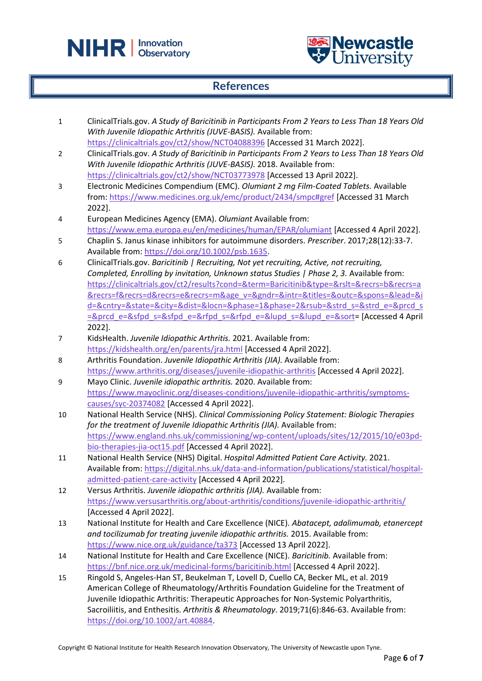



## **References**

- 1 ClinicalTrials.gov. *A Study of Baricitinib in Participants From 2 Years to Less Than 18 Years Old With Juvenile Idiopathic Arthritis (JUVE-BASIS).* Available from: <https://clinicaltrials.gov/ct2/show/NCT04088396> [Accessed 31 March 2022].
- 2 ClinicalTrials.gov. *A Study of Baricitinib in Participants From 2 Years to Less Than 18 Years Old With Juvenile Idiopathic Arthritis (JUVE-BASIS).* 2018. Available from: <https://clinicaltrials.gov/ct2/show/NCT03773978> [Accessed 13 April 2022].
- 3 Electronic Medicines Compendium (EMC). *Olumiant 2 mg Film-Coated Tablets.* Available from:<https://www.medicines.org.uk/emc/product/2434/smpc#gref> [Accessed 31 March 2022].
- 4 European Medicines Agency (EMA). *Olumiant* Available from: <https://www.ema.europa.eu/en/medicines/human/EPAR/olumiant> [Accessed 4 April 2022].
- 5 Chaplin S. Janus kinase inhibitors for autoimmune disorders. *Prescriber*. 2017;28(12):33-7. Available from[: https://doi.org/10.1002/psb.1635.](https://doi.org/10.1002/psb.1635)
- 6 ClinicalTrials.gov. *Baricitinib | Recruiting, Not yet recruiting, Active, not recruiting, Completed, Enrolling by invitation, Unknown status Studies | Phase 2, 3.* Available from: [https://clinicaltrials.gov/ct2/results?cond=&term=Baricitinib&type=&rslt=&recrs=b&recrs=a](https://clinicaltrials.gov/ct2/results?cond=&term=Baricitinib&type=&rslt=&recrs=b&recrs=a&recrs=f&recrs=d&recrs=e&recrs=m&age_v=&gndr=&intr=&titles=&outc=&spons=&lead=&id=&cntry=&state=&city=&dist=&locn=&phase=1&phase=2&rsub=&strd_s=&strd_e=&prcd_s=&prcd_e=&sfpd_s=&sfpd_e=&rfpd_s=&rfpd_e=&lupd_s=&lupd_e=&sort) [&recrs=f&recrs=d&recrs=e&recrs=m&age\\_v=&gndr=&intr=&titles=&outc=&spons=&lead=&i](https://clinicaltrials.gov/ct2/results?cond=&term=Baricitinib&type=&rslt=&recrs=b&recrs=a&recrs=f&recrs=d&recrs=e&recrs=m&age_v=&gndr=&intr=&titles=&outc=&spons=&lead=&id=&cntry=&state=&city=&dist=&locn=&phase=1&phase=2&rsub=&strd_s=&strd_e=&prcd_s=&prcd_e=&sfpd_s=&sfpd_e=&rfpd_s=&rfpd_e=&lupd_s=&lupd_e=&sort) [d=&cntry=&state=&city=&dist=&locn=&phase=1&phase=2&rsub=&strd\\_s=&strd\\_e=&prcd\\_s](https://clinicaltrials.gov/ct2/results?cond=&term=Baricitinib&type=&rslt=&recrs=b&recrs=a&recrs=f&recrs=d&recrs=e&recrs=m&age_v=&gndr=&intr=&titles=&outc=&spons=&lead=&id=&cntry=&state=&city=&dist=&locn=&phase=1&phase=2&rsub=&strd_s=&strd_e=&prcd_s=&prcd_e=&sfpd_s=&sfpd_e=&rfpd_s=&rfpd_e=&lupd_s=&lupd_e=&sort) [=&prcd\\_e=&sfpd\\_s=&sfpd\\_e=&rfpd\\_s=&rfpd\\_e=&lupd\\_s=&lupd\\_e=&sort=](https://clinicaltrials.gov/ct2/results?cond=&term=Baricitinib&type=&rslt=&recrs=b&recrs=a&recrs=f&recrs=d&recrs=e&recrs=m&age_v=&gndr=&intr=&titles=&outc=&spons=&lead=&id=&cntry=&state=&city=&dist=&locn=&phase=1&phase=2&rsub=&strd_s=&strd_e=&prcd_s=&prcd_e=&sfpd_s=&sfpd_e=&rfpd_s=&rfpd_e=&lupd_s=&lupd_e=&sort) [Accessed 4 April 2022].
- 7 KidsHealth. *Juvenile Idiopathic Arthritis.* 2021. Available from: <https://kidshealth.org/en/parents/jra.html> [Accessed 4 April 2022].
- 8 Arthritis Foundation. *Juvenile Idiopathic Arthritis (JIA).* Available from: <https://www.arthritis.org/diseases/juvenile-idiopathic-arthritis> [Accessed 4 April 2022].
- 9 Mayo Clinic. *Juvenile idiopathic arthritis.* 2020. Available from: [https://www.mayoclinic.org/diseases-conditions/juvenile-idiopathic-arthritis/symptoms](https://www.mayoclinic.org/diseases-conditions/juvenile-idiopathic-arthritis/symptoms-causes/syc-20374082)[causes/syc-20374082](https://www.mayoclinic.org/diseases-conditions/juvenile-idiopathic-arthritis/symptoms-causes/syc-20374082) [Accessed 4 April 2022].
- 10 National Health Service (NHS). *Clinical Commissioning Policy Statement: Biologic Therapies for the treatment of Juvenile Idiopathic Arthritis (JIA).* Available from: [https://www.england.nhs.uk/commissioning/wp-content/uploads/sites/12/2015/10/e03pd](https://www.england.nhs.uk/commissioning/wp-content/uploads/sites/12/2015/10/e03pd-bio-therapies-jia-oct15.pdf)[bio-therapies-jia-oct15.pdf](https://www.england.nhs.uk/commissioning/wp-content/uploads/sites/12/2015/10/e03pd-bio-therapies-jia-oct15.pdf) [Accessed 4 April 2022].
- 11 National Health Service (NHS) Digital. *Hospital Admitted Patient Care Activity.* 2021. Available from[: https://digital.nhs.uk/data-and-information/publications/statistical/hospital](https://digital.nhs.uk/data-and-information/publications/statistical/hospital-admitted-patient-care-activity)[admitted-patient-care-activity](https://digital.nhs.uk/data-and-information/publications/statistical/hospital-admitted-patient-care-activity) [Accessed 4 April 2022].
- 12 Versus Arthritis. *Juvenile idiopathic arthritis (JIA).* Available from: <https://www.versusarthritis.org/about-arthritis/conditions/juvenile-idiopathic-arthritis/> [Accessed 4 April 2022].
- 13 National Institute for Health and Care Excellence (NICE). *Abatacept, adalimumab, etanercept and tocilizumab for treating juvenile idiopathic arthritis.* 2015. Available from: <https://www.nice.org.uk/guidance/ta373> [Accessed 13 April 2022].
- 14 National Institute for Health and Care Excellence (NICE). *Baricitinib.* Available from: <https://bnf.nice.org.uk/medicinal-forms/baricitinib.html> [Accessed 4 April 2022].
- 15 Ringold S, Angeles-Han ST, Beukelman T, Lovell D, Cuello CA, Becker ML, et al. 2019 American College of Rheumatology/Arthritis Foundation Guideline for the Treatment of Juvenile Idiopathic Arthritis: Therapeutic Approaches for Non-Systemic Polyarthritis, Sacroiliitis, and Enthesitis. *Arthritis & Rheumatology*. 2019;71(6):846-63. Available from: [https://doi.org/10.1002/art.40884.](https://doi.org/10.1002/art.40884)